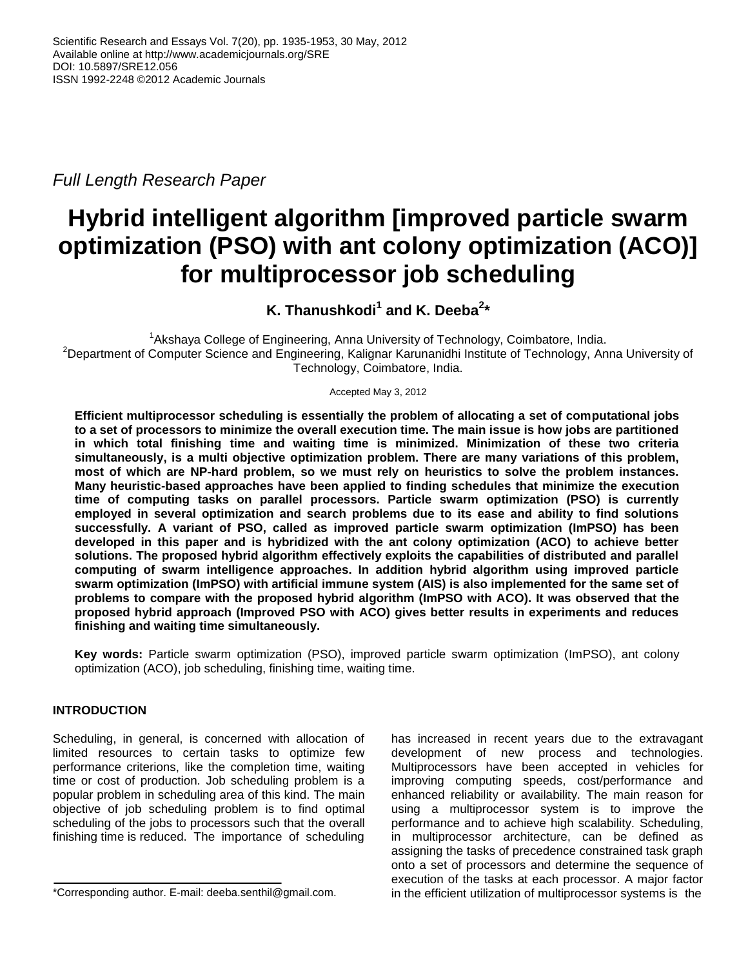*Full Length Research Paper*

# **Hybrid intelligent algorithm [improved particle swarm optimization (PSO) with ant colony optimization (ACO)] for multiprocessor job scheduling**

**K. Thanushkodi<sup>1</sup> and K. Deeba<sup>2</sup> \***

<sup>1</sup>Akshaya College of Engineering, Anna University of Technology, Coimbatore, India. <sup>2</sup>Department of Computer Science and Engineering, Kalignar Karunanidhi Institute of Technology, Anna University of Technology, Coimbatore, India.

Accepted May 3, 2012

**Efficient multiprocessor scheduling is essentially the problem of allocating a set of computational jobs to a set of processors to minimize the overall execution time. The main issue is how jobs are partitioned in which total finishing time and waiting time is minimized. Minimization of these two criteria simultaneously, is a multi objective optimization problem. There are many variations of this problem, most of which are NP-hard problem, so we must rely on heuristics to solve the problem instances. Many heuristic-based approaches have been applied to finding schedules that minimize the execution time of computing tasks on parallel processors. Particle swarm optimization (PSO) is currently employed in several optimization and search problems due to its ease and ability to find solutions successfully. A variant of PSO, called as improved particle swarm optimization (ImPSO) has been developed in this paper and is hybridized with the ant colony optimization (ACO) to achieve better solutions. The proposed hybrid algorithm effectively exploits the capabilities of distributed and parallel computing of swarm intelligence approaches. In addition hybrid algorithm using improved particle swarm optimization (ImPSO) with artificial immune system (AIS) is also implemented for the same set of problems to compare with the proposed hybrid algorithm (ImPSO with ACO). It was observed that the proposed hybrid approach (Improved PSO with ACO) gives better results in experiments and reduces finishing and waiting time simultaneously.**

**Key words:** Particle swarm optimization (PSO), improved particle swarm optimization (ImPSO), ant colony optimization (ACO), job scheduling, finishing time, waiting time.

# **INTRODUCTION**

Scheduling, in general, is concerned with allocation of limited resources to certain tasks to optimize few performance criterions, like the completion time, waiting time or cost of production. Job scheduling problem is a popular problem in scheduling area of this kind. The main objective of job scheduling problem is to find optimal scheduling of the jobs to processors such that the overall finishing time is reduced. The importance of scheduling

has increased in recent years due to the extravagant development of new process and technologies. Multiprocessors have been accepted in vehicles for improving computing speeds, cost/performance and enhanced reliability or availability. The main reason for using a multiprocessor system is to improve the performance and to achieve high scalability. Scheduling, in multiprocessor architecture, can be defined as assigning the tasks of precedence constrained task graph onto a set of processors and determine the sequence of execution of the tasks at each processor. A major factor in the efficient utilization of multiprocessor systems is the

<sup>\*</sup>Corresponding author. E-mail: deeba.senthil@gmail.com.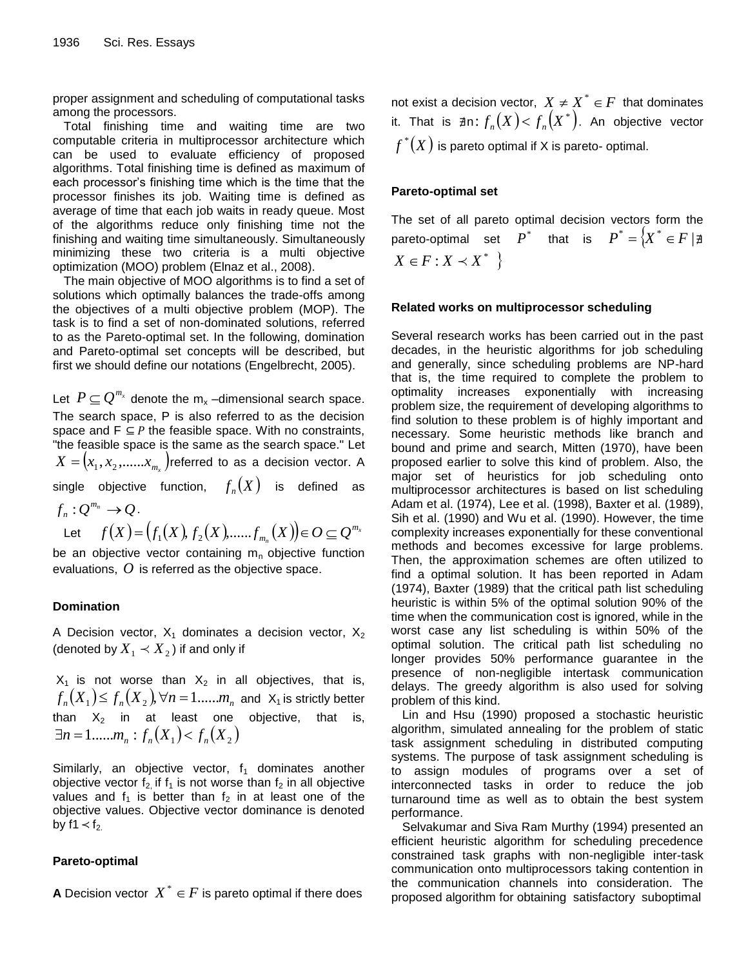proper assignment and scheduling of computational tasks among the processors.

Total finishing time and waiting time are two computable criteria in multiprocessor architecture which can be used to evaluate efficiency of proposed algorithms. Total finishing time is defined as maximum of each processor"s finishing time which is the time that the processor finishes its job. Waiting time is defined as average of time that each job waits in ready queue. Most of the algorithms reduce only finishing time not the finishing and waiting time simultaneously. Simultaneously minimizing these two criteria is a multi objective optimization (MOO) problem (Elnaz et al., 2008).

The main objective of MOO algorithms is to find a set of solutions which optimally balances the trade-offs among the objectives of a multi objective problem (MOP). The task is to find a set of non-dominated solutions, referred to as the Pareto-optimal set. In the following, domination and Pareto-optimal set concepts will be described, but first we should define our notations (Engelbrecht, 2005).

Let  $P \subseteq Q^{m_x}$  denote the  $m_x$  –dimensional search space. The search space, P is also referred to as the decision space and  $F \subseteq P$  the feasible space. With no constraints, "the feasible space is the same as the search space." Let  $X = (x_1, x_2,......x_{m_{\chi}})$ referred to as a decision vector. A single objective function,  $f_n(X)$  is defined as  $f_n: Q^{m_n} \to Q$  $C_n: Q^{m_n} \to Q.$ 

Let  $f(X) = (f_1(X), f_2(X), \dots, f_m(X)) \in O \subseteq Q^{m_x}$ *n*  $f(X) = (f_1(X), f_2(X), \dots, f_{m_n}(X)) \in O \subseteq Q^m$ 

be an objective vector containing  $m<sub>n</sub>$  objective function evaluations,  $\overline{O}$  is referred as the objective space.

## **Domination**

A Decision vector,  $X_1$  dominates a decision vector,  $X_2$ (denoted by  $X_{1} \prec X_{2}$  ) if and only if

 $X_1$  is not worse than  $X_2$  in all objectives, that is,  $f_n(X_1) \le f_n(X_2)$ ,  $\forall n = 1$ ...... $m_n$  and  $X_1$  is strictly better than  $X_2$  in at least one objective, that is,  $\exists n = 1$ .....*m*<sub>n</sub>:  $f_n(X_1) < f_n(X_2)$ 

Similarly, an objective vector,  $f_1$  dominates another objective vector  $f_2$  if  $f_1$  is not worse than  $f_2$  in all objective values and  $f_1$  is better than  $f_2$  in at least one of the objective values. Objective vector dominance is denoted by f1  $\lt$  f<sub>2.</sub>

## **Pareto-optimal**

**A** Decision vector  $X^* \in F$  is pareto optimal if there does

not exist a decision vector,  $X \neq X^* \in F$  that dominates it. That is  $\nexists$ n: $f_n(X)\!<\!f_n\!\left(X^*\right)$ . An objective vector  $f^{\ast}(X)$  is pareto optimal if X is pareto- optimal.

# **Pareto-optimal set**

The set of all pareto optimal decision vectors form the pareto-optimal set  $P^*$  that is  $P^* = \big\langle X^* \in F \, | \, \nexists$  $X \in F : X \prec X^*$ 

## **Related works on multiprocessor scheduling**

Several research works has been carried out in the past decades, in the heuristic algorithms for job scheduling and generally, since scheduling problems are NP-hard that is, the time required to complete the problem to optimality increases exponentially with increasing problem size, the requirement of developing algorithms to find solution to these problem is of highly important and necessary. Some heuristic methods like branch and bound and prime and search, Mitten (1970), have been proposed earlier to solve this kind of problem. Also, the major set of heuristics for job scheduling onto multiprocessor architectures is based on list scheduling Adam et al. (1974), Lee et al. (1998), Baxter et al. (1989), Sih et al. (1990) and Wu et al. (1990). However, the time complexity increases exponentially for these conventional methods and becomes excessive for large problems. Then, the approximation schemes are often utilized to find a optimal solution. It has been reported in Adam (1974), Baxter (1989) that the critical path list scheduling heuristic is within 5% of the optimal solution 90% of the time when the communication cost is ignored, while in the worst case any list scheduling is within 50% of the optimal solution. The critical path list scheduling no longer provides 50% performance guarantee in the presence of non-negligible intertask communication delays. The greedy algorithm is also used for solving problem of this kind.

Lin and Hsu (1990) proposed a stochastic heuristic algorithm, simulated annealing for the problem of static task assignment scheduling in distributed computing systems. The purpose of task assignment scheduling is to assign modules of programs over a set of interconnected tasks in order to reduce the job turnaround time as well as to obtain the best system performance.

Selvakumar and Siva Ram Murthy (1994) presented an efficient heuristic algorithm for scheduling precedence constrained task graphs with non-negligible inter-task communication onto multiprocessors taking contention in the communication channels into consideration. The proposed algorithm for obtaining satisfactory suboptimal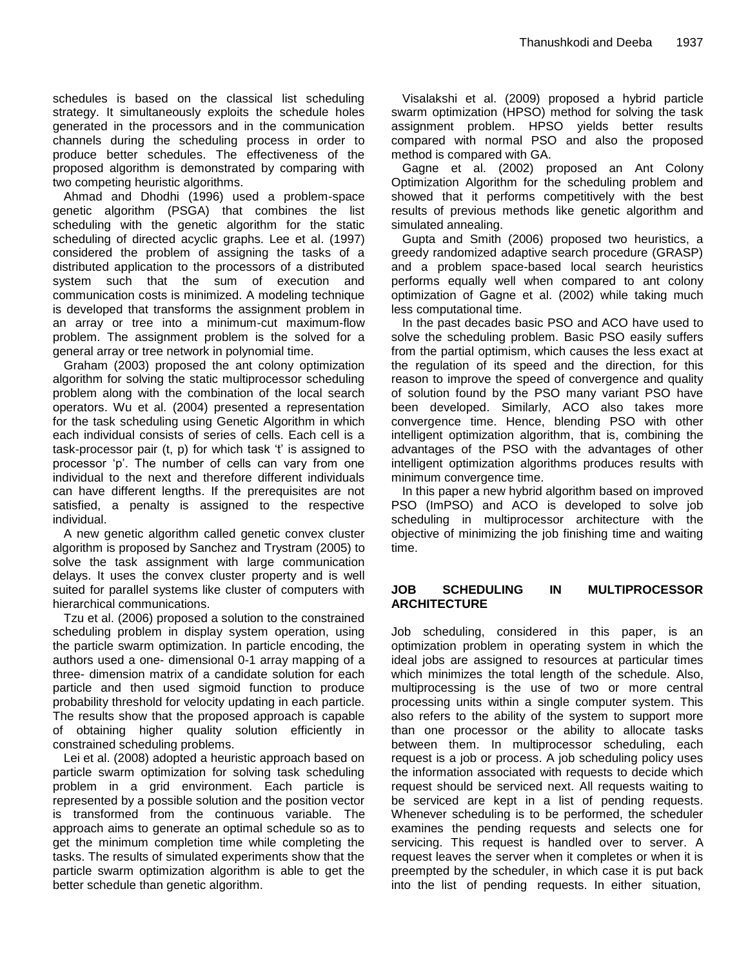schedules is based on the classical list scheduling strategy. It simultaneously exploits the schedule holes generated in the processors and in the communication channels during the scheduling process in order to produce better schedules. The effectiveness of the proposed algorithm is demonstrated by comparing with two competing heuristic algorithms.

Ahmad and Dhodhi (1996) used a problem-space genetic algorithm (PSGA) that combines the list scheduling with the genetic algorithm for the static scheduling of directed acyclic graphs. Lee et al. (1997) considered the problem of assigning the tasks of a distributed application to the processors of a distributed system such that the sum of execution and communication costs is minimized. A modeling technique is developed that transforms the assignment problem in an array or tree into a minimum-cut maximum-flow problem. The assignment problem is the solved for a general array or tree network in polynomial time.

Graham (2003) proposed the ant colony optimization algorithm for solving the static multiprocessor scheduling problem along with the combination of the local search operators. Wu et al. (2004) presented a representation for the task scheduling using Genetic Algorithm in which each individual consists of series of cells. Each cell is a task-processor pair  $(t, p)$  for which task 't' is assigned to processor 'p'. The number of cells can vary from one individual to the next and therefore different individuals can have different lengths. If the prerequisites are not satisfied, a penalty is assigned to the respective individual.

A new genetic algorithm called genetic convex cluster algorithm is proposed by Sanchez and Trystram (2005) to solve the task assignment with large communication delays. It uses the convex cluster property and is well suited for parallel systems like cluster of computers with hierarchical communications.

Tzu et al. (2006) proposed a solution to the constrained scheduling problem in display system operation, using the particle swarm optimization. In particle encoding, the authors used a one- dimensional 0-1 array mapping of a three- dimension matrix of a candidate solution for each particle and then used sigmoid function to produce probability threshold for velocity updating in each particle. The results show that the proposed approach is capable of obtaining higher quality solution efficiently in constrained scheduling problems.

Lei et al. (2008) adopted a heuristic approach based on particle swarm optimization for solving task scheduling problem in a grid environment. Each particle is represented by a possible solution and the position vector is transformed from the continuous variable. The approach aims to generate an optimal schedule so as to get the minimum completion time while completing the tasks. The results of simulated experiments show that the particle swarm optimization algorithm is able to get the better schedule than genetic algorithm.

Visalakshi et al. (2009) proposed a hybrid particle swarm optimization (HPSO) method for solving the task assignment problem. HPSO yields better results compared with normal PSO and also the proposed method is compared with GA.

Gagne et al. (2002) proposed an Ant Colony Optimization Algorithm for the scheduling problem and showed that it performs competitively with the best results of previous methods like genetic algorithm and simulated annealing.

Gupta and Smith (2006) proposed two heuristics, a greedy randomized adaptive search procedure (GRASP) and a problem space-based local search heuristics performs equally well when compared to ant colony optimization of Gagne et al. (2002) while taking much less computational time.

In the past decades basic PSO and ACO have used to solve the scheduling problem. Basic PSO easily suffers from the partial optimism, which causes the less exact at the regulation of its speed and the direction, for this reason to improve the speed of convergence and quality of solution found by the PSO many variant PSO have been developed. Similarly, ACO also takes more convergence time. Hence, blending PSO with other intelligent optimization algorithm, that is, combining the advantages of the PSO with the advantages of other intelligent optimization algorithms produces results with minimum convergence time.

In this paper a new hybrid algorithm based on improved PSO (ImPSO) and ACO is developed to solve job scheduling in multiprocessor architecture with the objective of minimizing the job finishing time and waiting time.

## **JOB SCHEDULING IN MULTIPROCESSOR ARCHITECTURE**

Job scheduling, considered in this paper, is an optimization problem in operating system in which the ideal jobs are assigned to resources at particular times which minimizes the total length of the schedule. Also, multiprocessing is the use of two or more central processing units within a single computer system. This also refers to the ability of the system to support more than one processor or the ability to allocate tasks between them. In multiprocessor scheduling, each request is a job or process. A job scheduling policy uses the information associated with requests to decide which request should be serviced next. All requests waiting to be serviced are kept in a list of pending requests. Whenever scheduling is to be performed, the scheduler examines the pending requests and selects one for servicing. This request is handled over to server. A request leaves the server when it completes or when it is preempted by the scheduler, in which case it is put back into the list of pending requests. In either situation,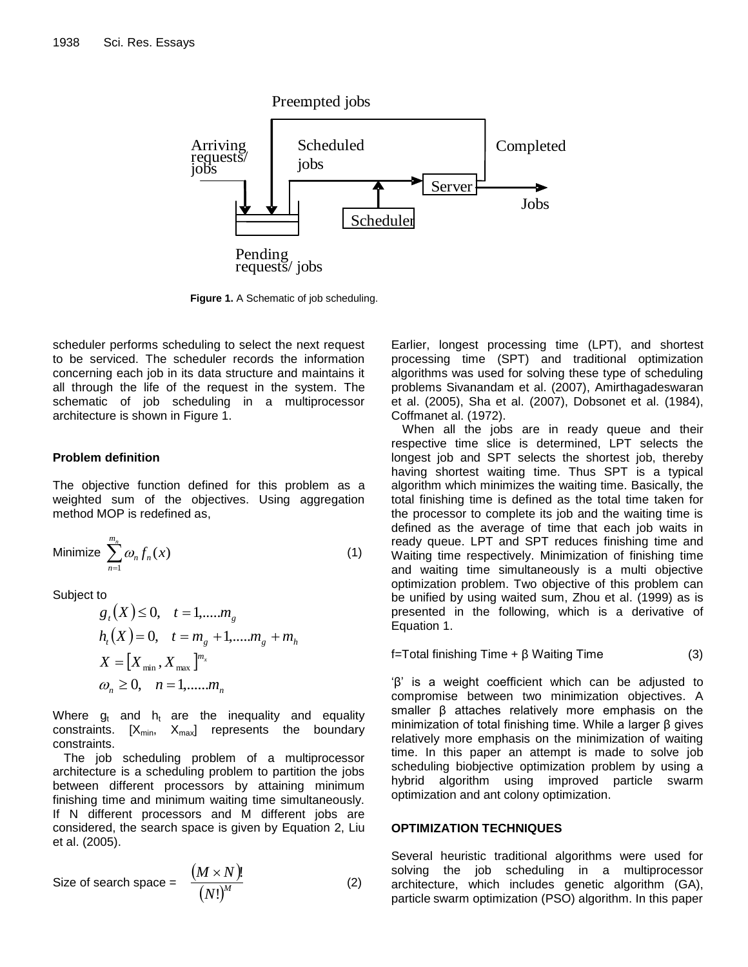

**Figure 1.** A Schematic of job scheduling.

scheduler performs scheduling to select the next request to be serviced. The scheduler records the information concerning each job in its data structure and maintains it all through the life of the request in the system. The schematic of job scheduling in a multiprocessor architecture is shown in Figure 1.

## **Problem definition**

The objective function defined for this problem as a weighted sum of the objectives. Using aggregation method MOP is redefined as,

Minimize 
$$
\sum_{n=1}^{m_n} \omega_n f_n(x)
$$
 (1)

Subject to

$$
g_t(X) \le 0, \quad t = 1, \dots, m_g
$$
  
\n $h_t(X) = 0, \quad t = m_g + 1, \dots, m_g + m_h$   
\n $X = [X_{\min}, X_{\max}]^{m_x}$   
\n $\omega_n \ge 0, \quad n = 1, \dots, m_n$ 

Where  $g_t$  and  $h_t$  are the inequality and equality constraints.  $[X_{min}, X_{max}]$  represents the boundary constraints.

The job scheduling problem of a multiprocessor architecture is a scheduling problem to partition the jobs between different processors by attaining minimum finishing time and minimum waiting time simultaneously. If N different processors and M different jobs are considered, the search space is given by Equation 2, Liu et al. (2005).

Size of search space =  $\frac{(M \times N)!}{(N+1)!}$  $(N!)^M$  $M \times N$ !  $\times N$ )! (2) Earlier, longest processing time (LPT), and shortest processing time (SPT) and traditional optimization algorithms was used for solving these type of scheduling problems Sivanandam et al. (2007), Amirthagadeswaran et al. (2005), Sha et al. (2007), Dobsonet et al. (1984), Coffmanet al. (1972).

When all the jobs are in ready queue and their respective time slice is determined, LPT selects the longest job and SPT selects the shortest job, thereby having shortest waiting time. Thus SPT is a typical algorithm which minimizes the waiting time. Basically, the total finishing time is defined as the total time taken for the processor to complete its job and the waiting time is defined as the average of time that each job waits in ready queue. LPT and SPT reduces finishing time and Waiting time respectively. Minimization of finishing time and waiting time simultaneously is a multi objective optimization problem. Two objective of this problem can be unified by using waited sum, Zhou et al. (1999) as is presented in the following, which is a derivative of Equation 1.

f=Total finishing Time + β Waiting Time (3)

"β" is a weight coefficient which can be adjusted to compromise between two minimization objectives. A smaller β attaches relatively more emphasis on the minimization of total finishing time. While a larger β gives relatively more emphasis on the minimization of waiting time. In this paper an attempt is made to solve job scheduling biobjective optimization problem by using a hybrid algorithm using improved particle swarm optimization and ant colony optimization.

#### **OPTIMIZATION TECHNIQUES**

Several heuristic traditional algorithms were used for solving the job scheduling in a multiprocessor architecture, which includes genetic algorithm (GA), particle swarm optimization (PSO) algorithm. In this paper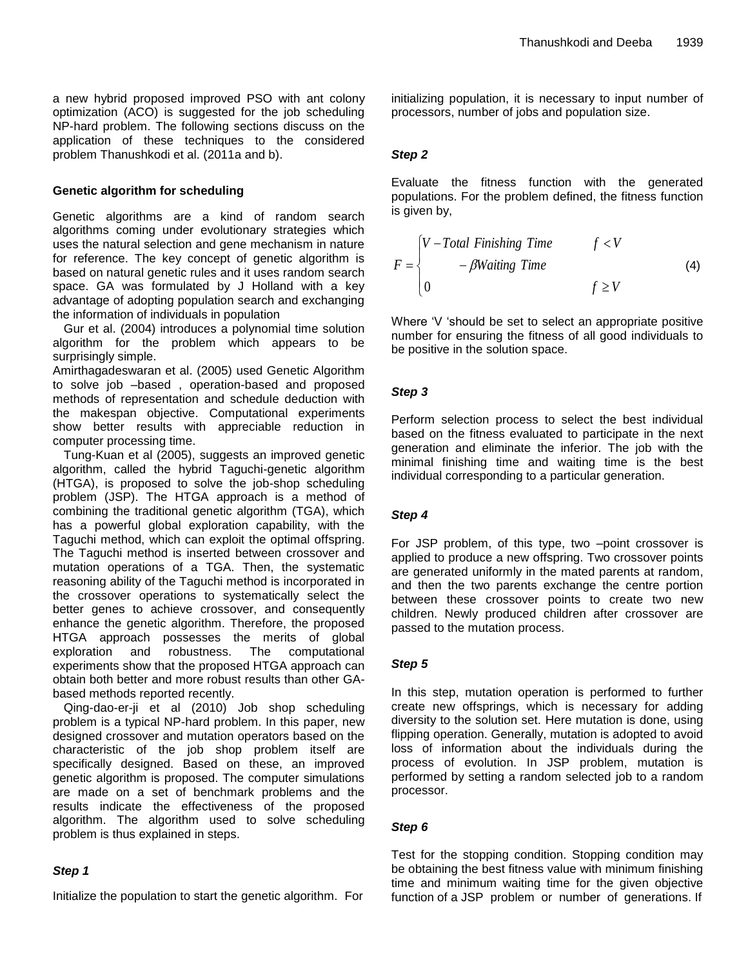a new hybrid proposed improved PSO with ant colony optimization (ACO) is suggested for the job scheduling NP-hard problem. The following sections discuss on the application of these techniques to the considered problem Thanushkodi et al. (2011a and b).

## **Genetic algorithm for scheduling**

Genetic algorithms are a kind of random search algorithms coming under evolutionary strategies which uses the natural selection and gene mechanism in nature for reference. The key concept of genetic algorithm is based on natural genetic rules and it uses random search space. GA was formulated by J Holland with a key advantage of adopting population search and exchanging the information of individuals in population

Gur et al. (2004) introduces a polynomial time solution algorithm for the problem which appears to be surprisingly simple.

Amirthagadeswaran et al. (2005) used Genetic Algorithm to solve job –based , operation-based and proposed methods of representation and schedule deduction with the makespan objective. Computational experiments show better results with appreciable reduction in computer processing time.

Tung-Kuan et al (2005), suggests an improved genetic algorithm, called the hybrid Taguchi-genetic algorithm (HTGA), is proposed to solve the job-shop scheduling problem (JSP). The HTGA approach is a method of combining the traditional genetic algorithm (TGA), which has a powerful global exploration capability, with the Taguchi method, which can exploit the optimal offspring. The Taguchi method is inserted between crossover and mutation operations of a TGA. Then, the systematic reasoning ability of the Taguchi method is incorporated in the crossover operations to systematically select the better genes to achieve crossover, and consequently enhance the genetic algorithm. Therefore, the proposed HTGA approach possesses the merits of global exploration and robustness. The computational experiments show that the proposed HTGA approach can obtain both better and more robust results than other GAbased methods reported recently.

Qing-dao-er-ji et al (2010) Job shop scheduling problem is a typical NP-hard problem. In this paper, new designed crossover and mutation operators based on the characteristic of the job shop problem itself are specifically designed. Based on these, an improved genetic algorithm is proposed. The computer simulations are made on a set of benchmark problems and the results indicate the effectiveness of the proposed algorithm. The algorithm used to solve scheduling problem is thus explained in steps.

#### *Step 1*

Initialize the population to start the genetic algorithm. For

initializing population, it is necessary to input number of processors, number of jobs and population size.

## *Step 2*

Evaluate the fitness function with the generated populations. For the problem defined, the fitness function is given by,

$$
F = \begin{cases} V - Total\text{ Finishing Time} & f < V \\ - \beta \text{Waiting Time} & f \ge V \\ 0 & f \ge V \end{cases} \tag{4}
$$

Where "V "should be set to select an appropriate positive number for ensuring the fitness of all good individuals to be positive in the solution space.

## *Step 3*

Perform selection process to select the best individual based on the fitness evaluated to participate in the next generation and eliminate the inferior. The job with the minimal finishing time and waiting time is the best individual corresponding to a particular generation.

## *Step 4*

For JSP problem, of this type, two –point crossover is applied to produce a new offspring. Two crossover points are generated uniformly in the mated parents at random, and then the two parents exchange the centre portion between these crossover points to create two new children. Newly produced children after crossover are passed to the mutation process.

## *Step 5*

In this step, mutation operation is performed to further create new offsprings, which is necessary for adding diversity to the solution set. Here mutation is done, using flipping operation. Generally, mutation is adopted to avoid loss of information about the individuals during the process of evolution. In JSP problem, mutation is performed by setting a random selected job to a random processor.

## *Step 6*

Test for the stopping condition. Stopping condition may be obtaining the best fitness value with minimum finishing time and minimum waiting time for the given objective function of a JSP problem or number of generations. If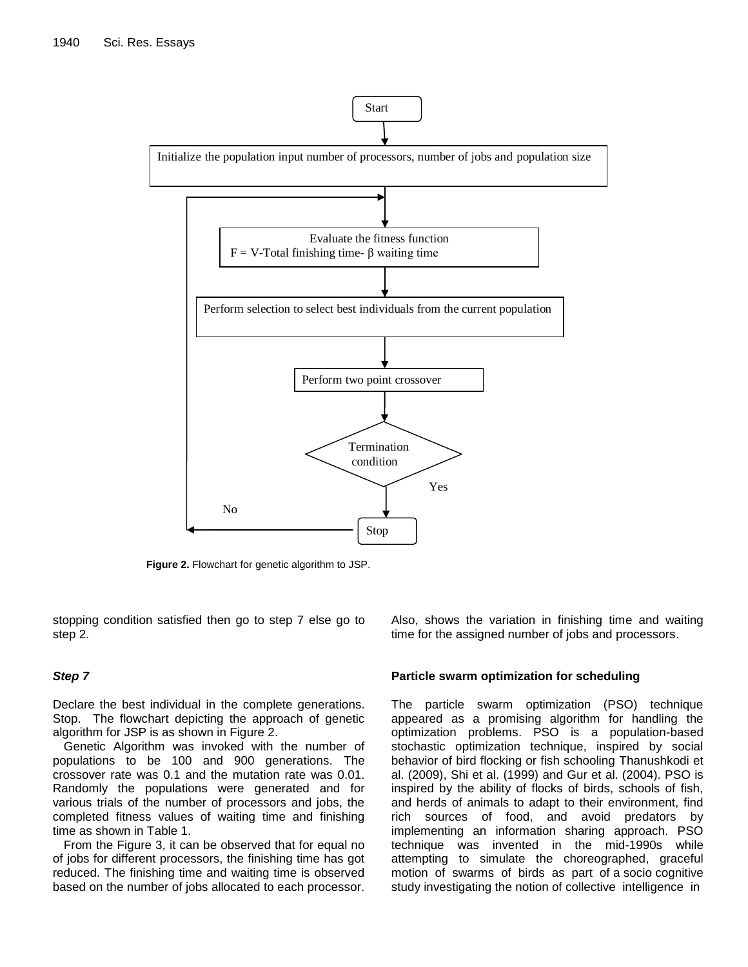

**Figure 2.** Flowchart for genetic algorithm to JSP.

stopping condition satisfied then go to step 7 else go to step 2.

#### *Step 7*

Declare the best individual in the complete generations. Stop. The flowchart depicting the approach of genetic algorithm for JSP is as shown in Figure 2.

Genetic Algorithm was invoked with the number of populations to be 100 and 900 generations. The crossover rate was 0.1 and the mutation rate was 0.01. Randomly the populations were generated and for various trials of the number of processors and jobs, the completed fitness values of waiting time and finishing time as shown in Table 1.

From the Figure 3, it can be observed that for equal no of jobs for different processors, the finishing time has got reduced. The finishing time and waiting time is observed based on the number of jobs allocated to each processor. Also, shows the variation in finishing time and waiting time for the assigned number of jobs and processors.

## **Particle swarm optimization for scheduling**

The particle swarm optimization (PSO) technique appeared as a promising algorithm for handling the optimization problems. PSO is a population-based stochastic optimization technique, inspired by social behavior of bird flocking or fish schooling Thanushkodi et al. (2009), Shi et al. (1999) and Gur et al. (2004). PSO is inspired by the ability of flocks of birds, schools of fish, and herds of animals to adapt to their environment, find rich sources of food, and avoid predators by implementing an information sharing approach. PSO technique was invented in the mid-1990s while attempting to simulate the choreographed, graceful motion of swarms of birds as part of a socio cognitive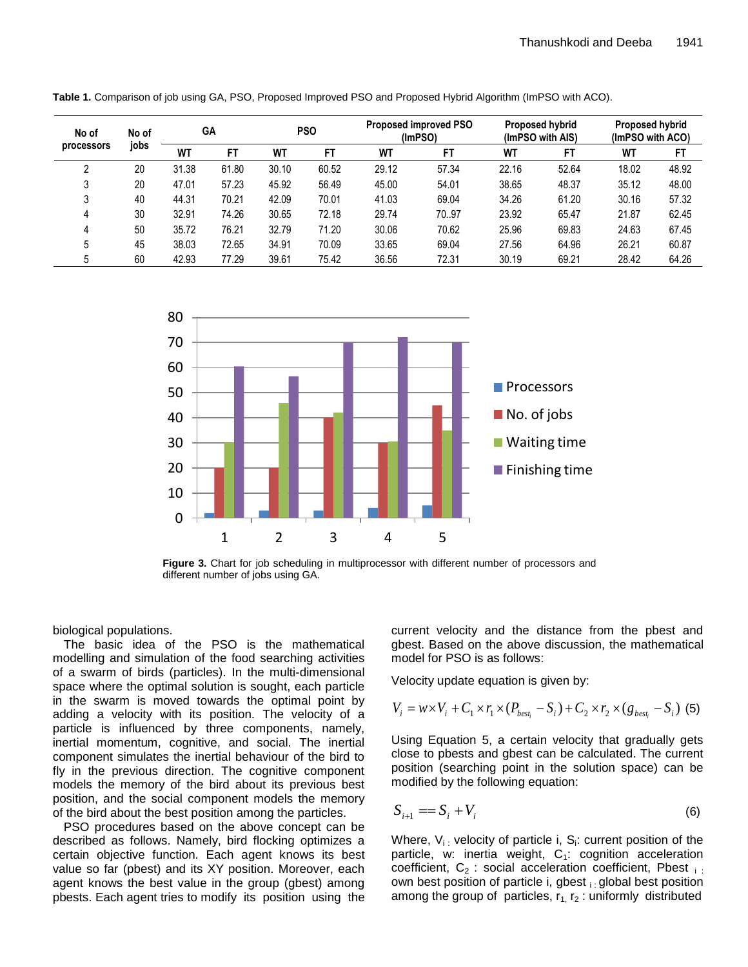| No of<br>processors | No of<br>jobs | GA        |       | <b>PSO</b> |       | <b>Proposed improved PSO</b><br>(ImPSO) |       | <b>Proposed hybrid</b><br>(ImPSO with AIS) |       | <b>Proposed hybrid</b><br>(ImPSO with ACO) |       |
|---------------------|---------------|-----------|-------|------------|-------|-----------------------------------------|-------|--------------------------------------------|-------|--------------------------------------------|-------|
|                     |               | <b>WT</b> | FT    | <b>WT</b>  | FT    | WT                                      | FT    | WT                                         | FT    | WT                                         | FT    |
| C                   | 20            | 31.38     | 61.80 | 30.10      | 60.52 | 29.12                                   | 57.34 | 22.16                                      | 52.64 | 18.02                                      | 48.92 |
| 3                   | 20            | 47.01     | 57.23 | 45.92      | 56.49 | 45.00                                   | 54.01 | 38.65                                      | 48.37 | 35.12                                      | 48.00 |
| 3                   | 40            | 44.31     | 70.21 | 42.09      | 70.01 | 41.03                                   | 69.04 | 34.26                                      | 61.20 | 30.16                                      | 57.32 |
| 4                   | 30            | 32.91     | 74.26 | 30.65      | 72.18 | 29.74                                   | 70.97 | 23.92                                      | 65.47 | 21.87                                      | 62.45 |
| 4                   | 50            | 35.72     | 76.21 | 32.79      | 71.20 | 30.06                                   | 70.62 | 25.96                                      | 69.83 | 24.63                                      | 67.45 |
| 5                   | 45            | 38.03     | 72.65 | 34.91      | 70.09 | 33.65                                   | 69.04 | 27.56                                      | 64.96 | 26.21                                      | 60.87 |
|                     | 60            | 42.93     | 77.29 | 39.61      | 75.42 | 36.56                                   | 72.31 | 30.19                                      | 69.21 | 28.42                                      | 64.26 |

**Table 1.** Comparison of job using GA, PSO, Proposed Improved PSO and Proposed Hybrid Algorithm (ImPSO with ACO).



**Figure 3.** Chart for job scheduling in multiprocessor with different number of processors and different number of jobs using GA.

biological populations.

The basic idea of the PSO is the mathematical modelling and simulation of the food searching activities of a swarm of birds (particles). In the multi-dimensional space where the optimal solution is sought, each particle in the swarm is moved towards the optimal point by adding a velocity with its position. The velocity of a particle is influenced by three components, namely, inertial momentum, cognitive, and social. The inertial component simulates the inertial behaviour of the bird to fly in the previous direction. The cognitive component models the memory of the bird about its previous best position, and the social component models the memory of the bird about the best position among the particles.

PSO procedures based on the above concept can be described as follows. Namely, bird flocking optimizes a certain objective function. Each agent knows its best value so far (pbest) and its XY position. Moreover, each agent knows the best value in the group (gbest) among pbests. Each agent tries to modify its position using the current velocity and the distance from the pbest and gbest. Based on the above discussion, the mathematical model for PSO is as follows:

Velocity update equation is given by:

$$
V_i = w \times V_i + C_1 \times r_1 \times (P_{best_i} - S_i) + C_2 \times r_2 \times (g_{best_i} - S_i)
$$
 (5)

Using Equation 5, a certain velocity that gradually gets close to pbests and gbest can be calculated. The current position (searching point in the solution space) can be modified by the following equation:

$$
S_{i+1} = S_i + V_i \tag{6}
$$

Where,  $V_{i}$  velocity of particle i,  $S_i$ : current position of the particle, w: inertia weight,  $C_1$ : cognition acceleration coefficient,  $C_2$ : social acceleration coefficient, Pbest i own best position of particle i, gbest  $_{i}$  global best position among the group of particles,  $r_1$ ,  $r_2$ : uniformly distributed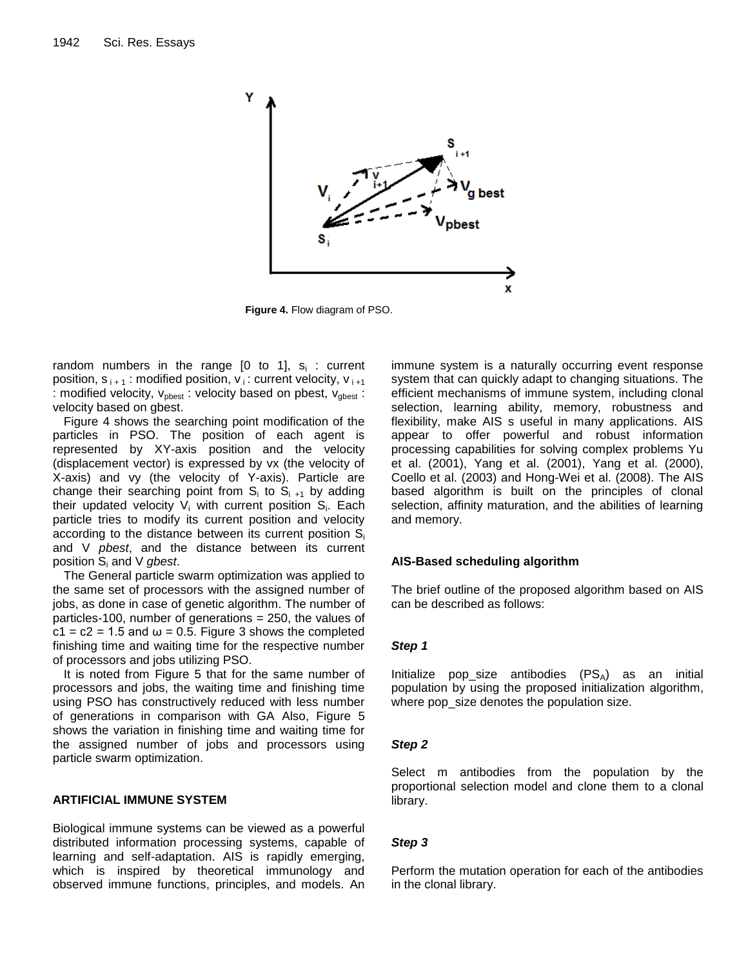

**Figure 4.** Flow diagram of PSO.

random numbers in the range  $[0 \text{ to } 1]$ , s<sub>i</sub>: current position,  $s_{i+1}$ : modified position,  $v_i$ : current velocity,  $v_{i+1}$ : modified velocity,  $v_{\text{pbest}}$  : velocity based on pbest,  $v_{\text{gbest}}$  : velocity based on gbest.

Figure 4 shows the searching point modification of the particles in PSO. The position of each agent is represented by XY-axis position and the velocity (displacement vector) is expressed by vx (the velocity of X-axis) and vy (the velocity of Y-axis). Particle are change their searching point from  $S_i$  to  $S_{i+1}$  by adding their updated velocity  $V_i$  with current position  $S_i$ . Each particle tries to modify its current position and velocity according to the distance between its current position S<sub>i</sub> and V *pbest*, and the distance between its current position S<sup>i</sup> and V *gbest*.

The General particle swarm optimization was applied to the same set of processors with the assigned number of jobs, as done in case of genetic algorithm. The number of particles-100, number of generations = 250, the values of  $c1 = c2 = 1.5$  and  $\omega = 0.5$ . Figure 3 shows the completed finishing time and waiting time for the respective number of processors and jobs utilizing PSO.

It is noted from Figure 5 that for the same number of processors and jobs, the waiting time and finishing time using PSO has constructively reduced with less number of generations in comparison with GA Also, Figure 5 shows the variation in finishing time and waiting time for the assigned number of jobs and processors using particle swarm optimization.

#### **ARTIFICIAL IMMUNE SYSTEM**

Biological immune systems can be viewed as a powerful distributed information processing systems, capable of learning and self-adaptation. AIS is rapidly emerging, which is inspired by theoretical immunology and observed immune functions, principles, and models. An immune system is a naturally occurring event response system that can quickly adapt to changing situations. The efficient mechanisms of immune system, including clonal selection, learning ability, memory, robustness and flexibility, make AIS s useful in many applications. AIS appear to offer powerful and robust information processing capabilities for solving complex problems Yu et al. (2001), Yang et al. (2001), Yang et al. (2000), Coello et al. (2003) and Hong-Wei et al. (2008). The AIS based algorithm is built on the principles of clonal selection, affinity maturation, and the abilities of learning and memory.

#### **AIS-Based scheduling algorithm**

The brief outline of the proposed algorithm based on AIS can be described as follows:

#### *Step 1*

Initialize pop\_size antibodies  $(PS_A)$  as an initial population by using the proposed initialization algorithm, where pop size denotes the population size.

#### *Step 2*

Select m antibodies from the population by the proportional selection model and clone them to a clonal library.

#### *Step 3*

Perform the mutation operation for each of the antibodies in the clonal library.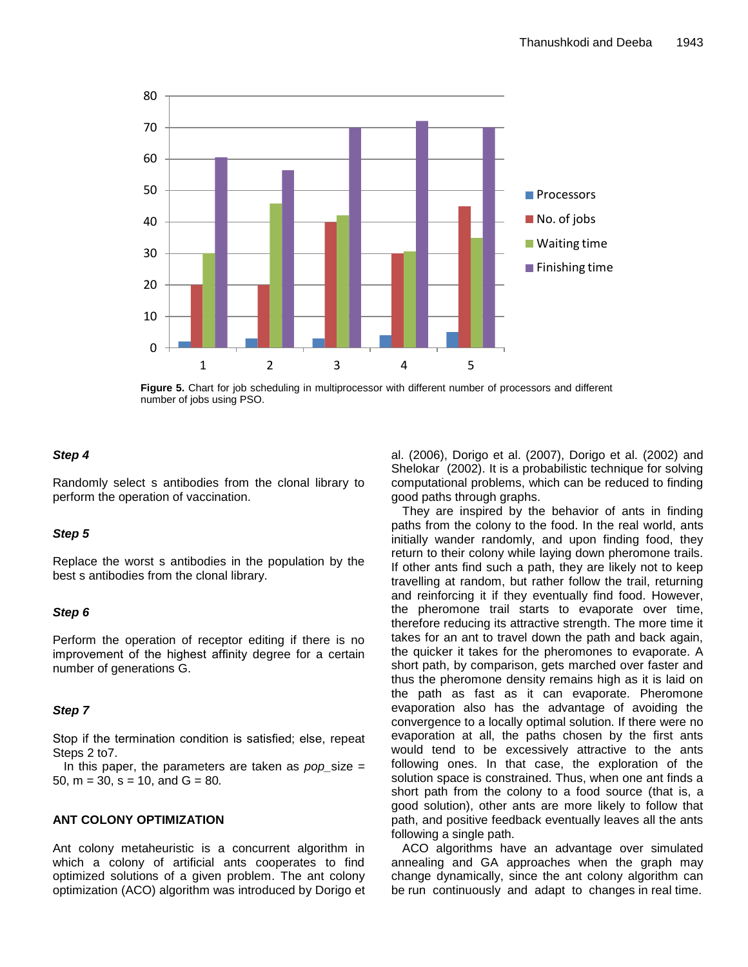

**Figure 5.** Chart for job scheduling in multiprocessor with different number of processors and different number of jobs using PSO.

#### *Step 4*

Randomly select s antibodies from the clonal library to perform the operation of vaccination.

#### *Step 5*

Replace the worst s antibodies in the population by the best s antibodies from the clonal library.

#### *Step 6*

Perform the operation of receptor editing if there is no improvement of the highest affinity degree for a certain number of generations G.

#### *Step 7*

Stop if the termination condition is satisfied; else, repeat Steps 2 to7.

In this paper, the parameters are taken as *pop\_*size = 50, m = 30, s = 10, and G = 80*.*

# **ANT COLONY OPTIMIZATION**

Ant colony metaheuristic is a concurrent algorithm in which a colony of artificial ants cooperates to find optimized solutions of a given problem. The ant colony optimization (ACO) algorithm was introduced by Dorigo et al. (2006), Dorigo et al. (2007), Dorigo et al. (2002) and Shelokar (2002). It is a probabilistic technique for solving computational problems, which can be reduced to finding good paths through graphs.

They are inspired by the behavior of ants in finding paths from the colony to the food. In the real world, ants initially wander randomly, and upon finding food, they return to their colony while laying down pheromone trails. If other ants find such a path, they are likely not to keep travelling at random, but rather follow the trail, returning and reinforcing it if they eventually find food. However, the pheromone trail starts to evaporate over time, therefore reducing its attractive strength. The more time it takes for an ant to travel down the path and back again, the quicker it takes for the pheromones to evaporate. A short path, by comparison, gets marched over faster and thus the pheromone density remains high as it is laid on the path as fast as it can evaporate. Pheromone evaporation also has the advantage of avoiding the convergence to a locally optimal solution. If there were no evaporation at all, the paths chosen by the first ants would tend to be excessively attractive to the ants following ones. In that case, the exploration of the solution space is constrained. Thus, when one ant finds a short path from the colony to a food source (that is, a good solution), other ants are more likely to follow that path, and positive feedback eventually leaves all the ants following a single path.

ACO algorithms have an advantage over simulated annealing and GA approaches when the graph may change dynamically, since the ant colony algorithm can be run continuously and adapt to changes in real time.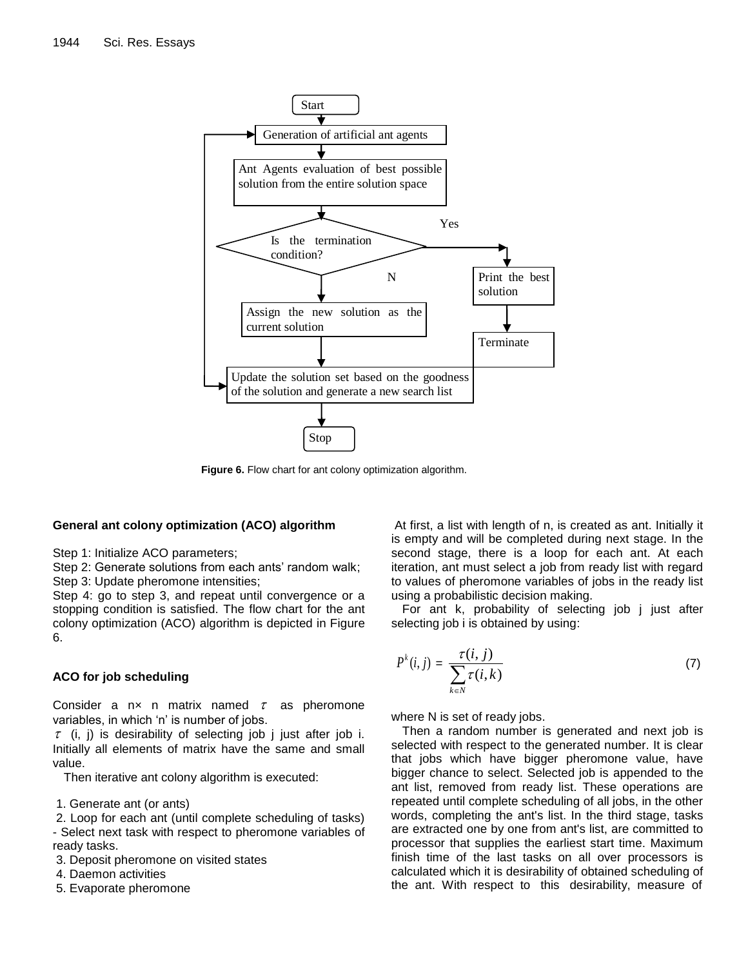

**Figure 6.** Flow chart for ant colony optimization algorithm.

#### **General ant colony optimization (ACO) algorithm**

Step 1: Initialize ACO parameters;

Step 2: Generate solutions from each ants' random walk; Step 3: Update pheromone intensities;

Step 4: go to step 3, and repeat until convergence or a stopping condition is satisfied. The flow chart for the ant colony optimization (ACO) algorithm is depicted in Figure 6.

## **ACO for job scheduling**

Consider a nx n matrix named  $\tau$  as pheromone variables, in which 'n' is number of jobs.

 $\tau$  (i, j) is desirability of selecting job j just after job i. Initially all elements of matrix have the same and small value.

Then iterative ant colony algorithm is executed:

1. Generate ant (or ants)

2. Loop for each ant (until complete scheduling of tasks) - Select next task with respect to pheromone variables of ready tasks.

- 3. Deposit pheromone on visited states
- 4. Daemon activities
- 5. Evaporate pheromone

At first, a list with length of n, is created as ant. Initially it is empty and will be completed during next stage. In the second stage, there is a loop for each ant. At each iteration, ant must select a job from ready list with regard to values of pheromone variables of jobs in the ready list using a probabilistic decision making.

For ant k, probability of selecting job j just after selecting job i is obtained by using:

$$
P^{k}(i,j) = \frac{\tau(i,j)}{\sum_{k \in N} \tau(i,k)}
$$
 (7)

where N is set of ready jobs.

Then a random number is generated and next job is selected with respect to the generated number. It is clear that jobs which have bigger pheromone value, have bigger chance to select. Selected job is appended to the ant list, removed from ready list. These operations are repeated until complete scheduling of all jobs, in the other words, completing the ant's list. In the third stage, tasks are extracted one by one from ant's list, are committed to processor that supplies the earliest start time. Maximum finish time of the last tasks on all over processors is calculated which it is desirability of obtained scheduling of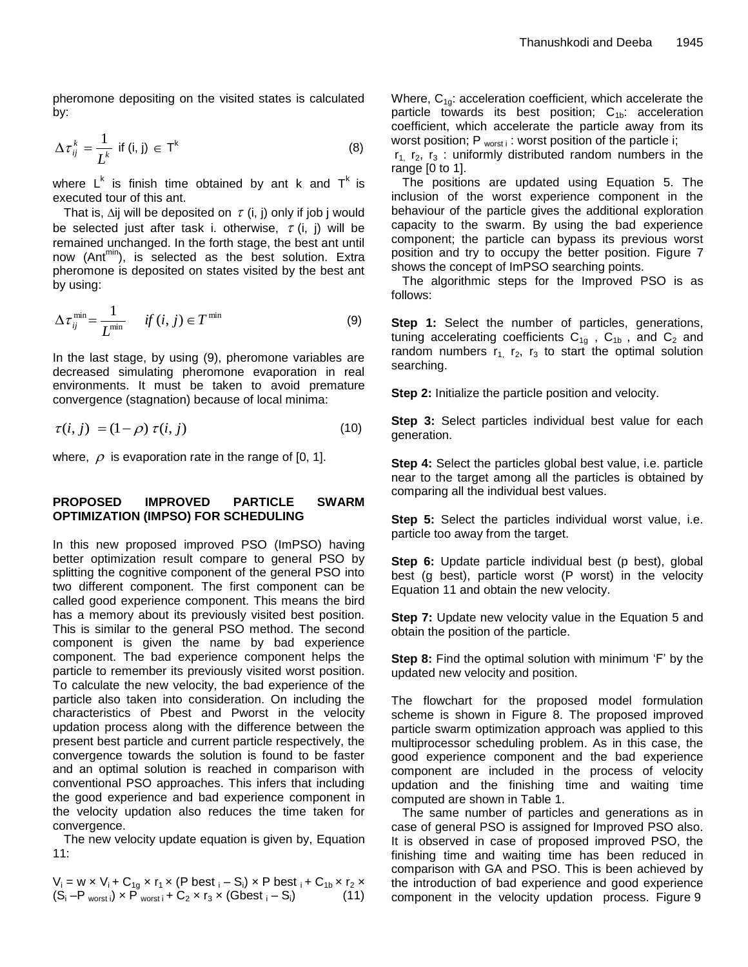pheromone depositing on the visited states is calculated by:

$$
\Delta \tau_{ij}^k = \frac{1}{L^k} \text{ if } (i, j) \in T^k \tag{8}
$$

where  $L^k$  is finish time obtained by ant k and  $T^k$  is executed tour of this ant.

That is,  $\Delta$ ij will be deposited on  $\tau$  (i, j) only if job j would be selected just after task i. otherwise,  $\tau$  (i, j) will be remained unchanged. In the forth stage, the best ant until now (Ant<sup>min</sup>), is selected as the best solution. Extra pheromone is deposited on states visited by the best ant by using:

$$
\Delta \tau_{ij}^{\min} = \frac{1}{L^{\min}} \qquad \text{if } (i, j) \in T^{\min} \tag{9}
$$

In the last stage, by using (9), pheromone variables are decreased simulating pheromone evaporation in real environments. It must be taken to avoid premature convergence (stagnation) because of local minima:

$$
\tau(i,j) = (1-\rho)\,\tau(i,j) \tag{10}
$$

where,  $\rho$  is evaporation rate in the range of [0, 1].

## **PROPOSED IMPROVED PARTICLE SWARM OPTIMIZATION (IMPSO) FOR SCHEDULING**

In this new proposed improved PSO (ImPSO) having better optimization result compare to general PSO by splitting the cognitive component of the general PSO into two different component. The first component can be called good experience component. This means the bird has a memory about its previously visited best position. This is similar to the general PSO method. The second component is given the name by bad experience component. The bad experience component helps the particle to remember its previously visited worst position. To calculate the new velocity, the bad experience of the particle also taken into consideration. On including the characteristics of Pbest and Pworst in the velocity updation process along with the difference between the present best particle and current particle respectively, the convergence towards the solution is found to be faster and an optimal solution is reached in comparison with conventional PSO approaches. This infers that including the good experience and bad experience component in the velocity updation also reduces the time taken for convergence.

The new velocity update equation is given by, Equation 11:

$$
V_i = w \times V_i + C_{1g} \times r_1 \times (P best_i - S_i) \times P best_i + C_{1b} \times r_2 \times (S_i - P_{worst}i) \times P_{worst} + C_2 \times r_3 \times (Gbest_i - S_i)
$$
 (11)

Where,  $C_{10}$ : acceleration coefficient, which accelerate the particle towards its best position;  $C_{1b}$ : acceleration coefficient, which accelerate the particle away from its worst position;  $P_{worst i}$  : worst position of the particle i;

 $r_1$ ,  $r_2$ ,  $r_3$ : uniformly distributed random numbers in the range  $[0 \text{ to } 1]$ .

The positions are updated using Equation 5. The inclusion of the worst experience component in the behaviour of the particle gives the additional exploration capacity to the swarm. By using the bad experience component; the particle can bypass its previous worst position and try to occupy the better position. Figure 7 shows the concept of ImPSO searching points.

The algorithmic steps for the Improved PSO is as follows:

**Step 1:** Select the number of particles, generations, tuning accelerating coefficients  $C_{1g}$ ,  $C_{1b}$ , and  $C_2$  and random numbers  $r_1$ ,  $r_2$ ,  $r_3$  to start the optimal solution searching.

**Step 2:** Initialize the particle position and velocity.

**Step 3:** Select particles individual best value for each generation.

**Step 4:** Select the particles global best value, i.e. particle near to the target among all the particles is obtained by comparing all the individual best values.

**Step 5:** Select the particles individual worst value, i.e. particle too away from the target.

**Step 6:** Update particle individual best (p best), global best (g best), particle worst (P worst) in the velocity Equation 11 and obtain the new velocity.

**Step 7:** Update new velocity value in the Equation 5 and obtain the position of the particle.

**Step 8:** Find the optimal solution with minimum 'F' by the updated new velocity and position.

The flowchart for the proposed model formulation scheme is shown in Figure 8. The proposed improved particle swarm optimization approach was applied to this multiprocessor scheduling problem. As in this case, the good experience component and the bad experience component are included in the process of velocity updation and the finishing time and waiting time computed are shown in Table 1.

The same number of particles and generations as in case of general PSO is assigned for Improved PSO also. It is observed in case of proposed improved PSO, the finishing time and waiting time has been reduced in comparison with GA and PSO. This is been achieved by the introduction of bad experience and good experience component in the velocity updation process. Figure 9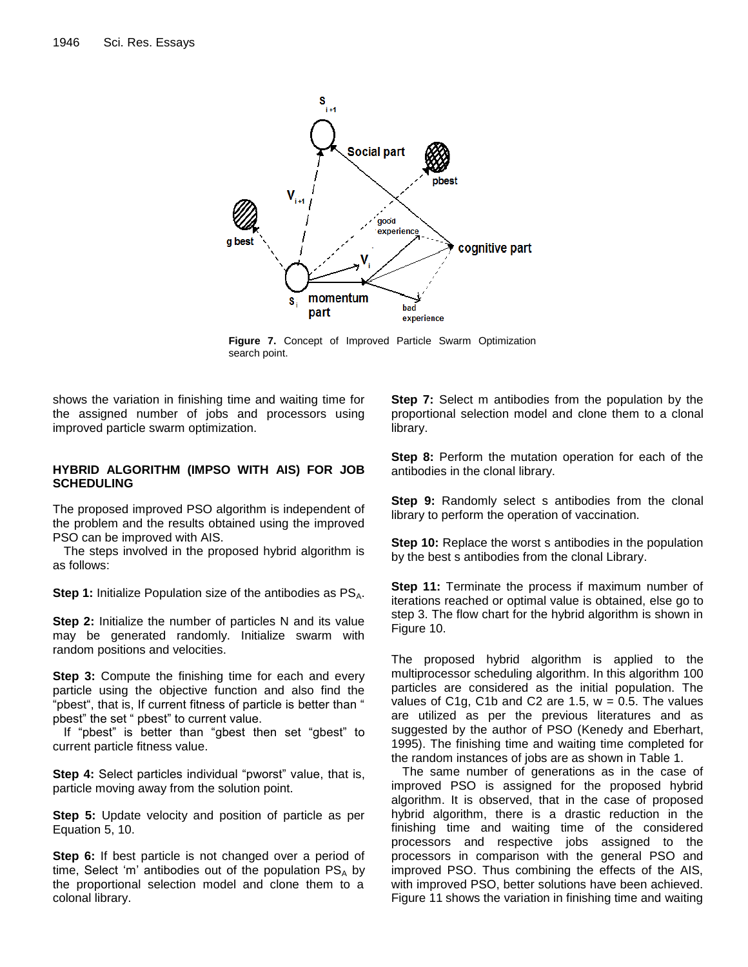

**Figure 7.** Concept of Improved Particle Swarm Optimization search point.

shows the variation in finishing time and waiting time for the assigned number of jobs and processors using improved particle swarm optimization.

## **HYBRID ALGORITHM (IMPSO WITH AIS) FOR JOB SCHEDULING**

The proposed improved PSO algorithm is independent of the problem and the results obtained using the improved PSO can be improved with AIS.

The steps involved in the proposed hybrid algorithm is as follows:

**Step 1:** Initialize Population size of the antibodies as PS<sub>A</sub>.

**Step 2:** Initialize the number of particles N and its value may be generated randomly. Initialize swarm with random positions and velocities.

**Step 3:** Compute the finishing time for each and every particle using the objective function and also find the "pbest", that is, If current fitness of particle is better than " pbest" the set " pbest" to current value.

If "pbest" is better than "gbest then set "gbest" to current particle fitness value.

**Step 4:** Select particles individual "pworst" value, that is, particle moving away from the solution point.

**Step 5:** Update velocity and position of particle as per Equation 5, 10.

**Step 6:** If best particle is not changed over a period of time, Select 'm' antibodies out of the population  $PS_A$  by the proportional selection model and clone them to a colonal library.

**Step 7:** Select m antibodies from the population by the proportional selection model and clone them to a clonal library.

**Step 8:** Perform the mutation operation for each of the antibodies in the clonal library.

**Step 9:** Randomly select s antibodies from the clonal library to perform the operation of vaccination.

**Step 10:** Replace the worst s antibodies in the population by the best s antibodies from the clonal Library.

**Step 11:** Terminate the process if maximum number of iterations reached or optimal value is obtained, else go to step 3. The flow chart for the hybrid algorithm is shown in Figure 10.

The proposed hybrid algorithm is applied to the multiprocessor scheduling algorithm. In this algorithm 100 particles are considered as the initial population. The values of C1g, C1b and C2 are 1.5,  $w = 0.5$ . The values are utilized as per the previous literatures and as suggested by the author of PSO (Kenedy and Eberhart, 1995). The finishing time and waiting time completed for the random instances of jobs are as shown in Table 1.

The same number of generations as in the case of improved PSO is assigned for the proposed hybrid algorithm. It is observed, that in the case of proposed hybrid algorithm, there is a drastic reduction in the finishing time and waiting time of the considered processors and respective jobs assigned to the processors in comparison with the general PSO and improved PSO. Thus combining the effects of the AIS, with improved PSO, better solutions have been achieved. Figure 11 shows the variation in finishing time and waiting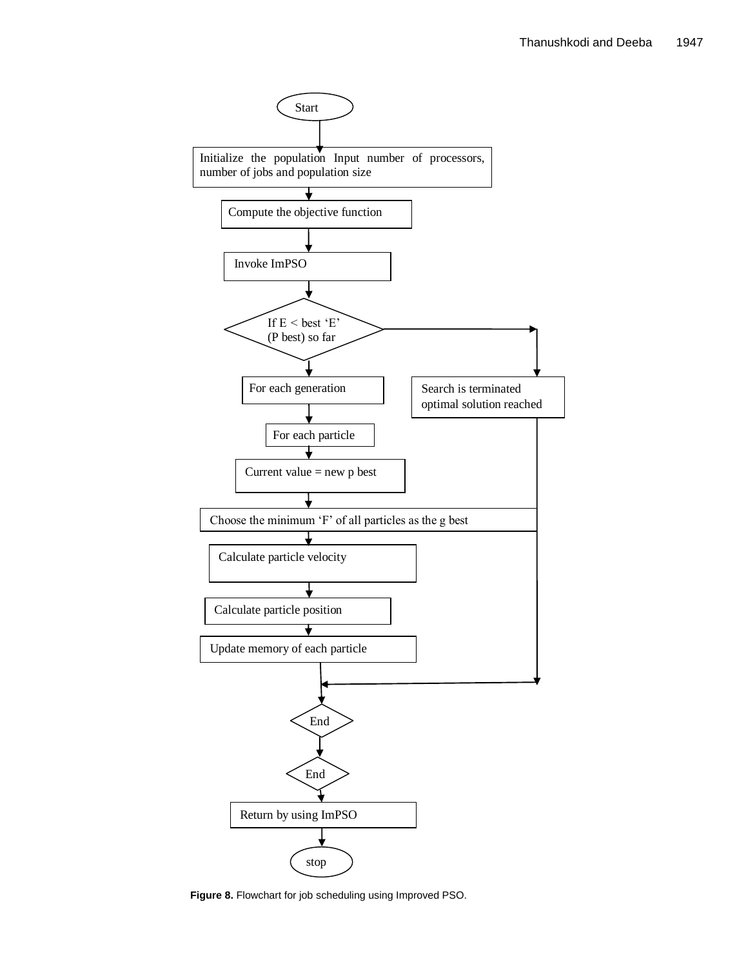

**Figure 8.** Flowchart for job scheduling using Improved PSO.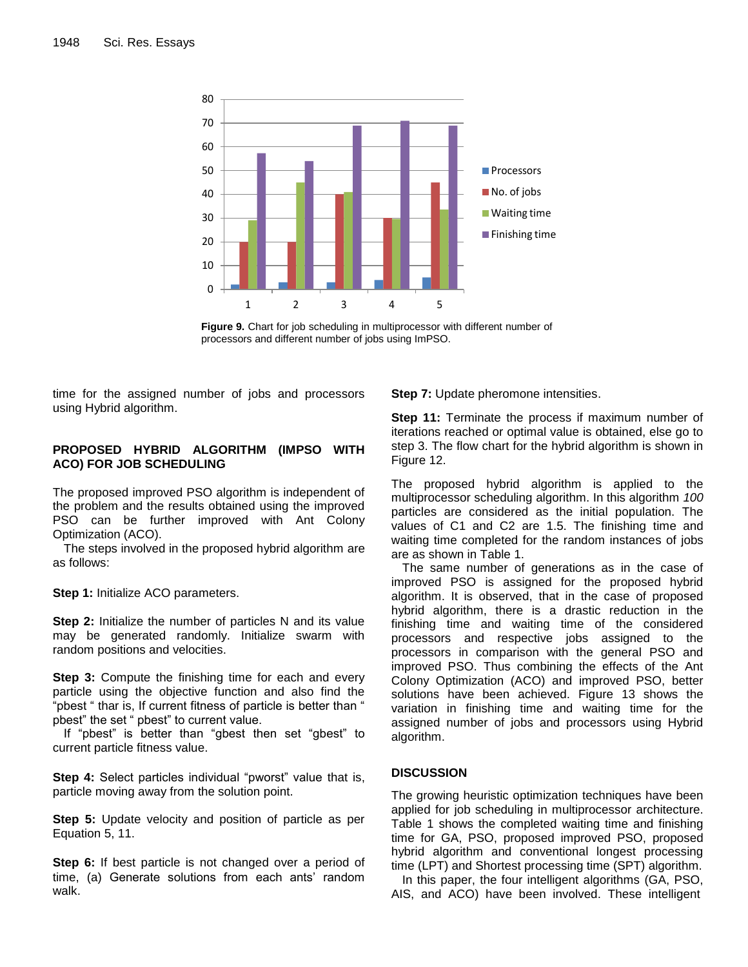

**Figure 9.** Chart for job scheduling in multiprocessor with different number of processors and different number of jobs using ImPSO.

time for the assigned number of jobs and processors using Hybrid algorithm.

## **PROPOSED HYBRID ALGORITHM (IMPSO WITH ACO) FOR JOB SCHEDULING**

The proposed improved PSO algorithm is independent of the problem and the results obtained using the improved PSO can be further improved with Ant Colony Optimization (ACO).

The steps involved in the proposed hybrid algorithm are as follows:

**Step 1:** Initialize ACO parameters.

**Step 2:** Initialize the number of particles N and its value may be generated randomly. Initialize swarm with random positions and velocities.

**Step 3:** Compute the finishing time for each and every particle using the objective function and also find the "pbest " thar is, If current fitness of particle is better than " pbest" the set " pbest" to current value.

If "pbest" is better than "gbest then set "gbest" to current particle fitness value.

**Step 4:** Select particles individual "pworst" value that is, particle moving away from the solution point.

**Step 5:** Update velocity and position of particle as per Equation 5, 11.

**Step 6:** If best particle is not changed over a period of time, (a) Generate solutions from each ants' random walk.

**Step 7:** Update pheromone intensities.

**Step 11:** Terminate the process if maximum number of iterations reached or optimal value is obtained, else go to step 3. The flow chart for the hybrid algorithm is shown in Figure 12.

The proposed hybrid algorithm is applied to the multiprocessor scheduling algorithm. In this algorithm *100*  particles are considered as the initial population. The values of C1 and C2 are 1.5. The finishing time and waiting time completed for the random instances of jobs are as shown in Table 1.

The same number of generations as in the case of improved PSO is assigned for the proposed hybrid algorithm. It is observed, that in the case of proposed hybrid algorithm, there is a drastic reduction in the finishing time and waiting time of the considered processors and respective jobs assigned to the processors in comparison with the general PSO and improved PSO. Thus combining the effects of the Ant Colony Optimization (ACO) and improved PSO, better solutions have been achieved. Figure 13 shows the variation in finishing time and waiting time for the assigned number of jobs and processors using Hybrid algorithm.

# **DISCUSSION**

The growing heuristic optimization techniques have been applied for job scheduling in multiprocessor architecture. Table 1 shows the completed waiting time and finishing time for GA, PSO, proposed improved PSO, proposed hybrid algorithm and conventional longest processing time (LPT) and Shortest processing time (SPT) algorithm.

In this paper, the four intelligent algorithms (GA, PSO, AIS, and ACO) have been involved. These intelligent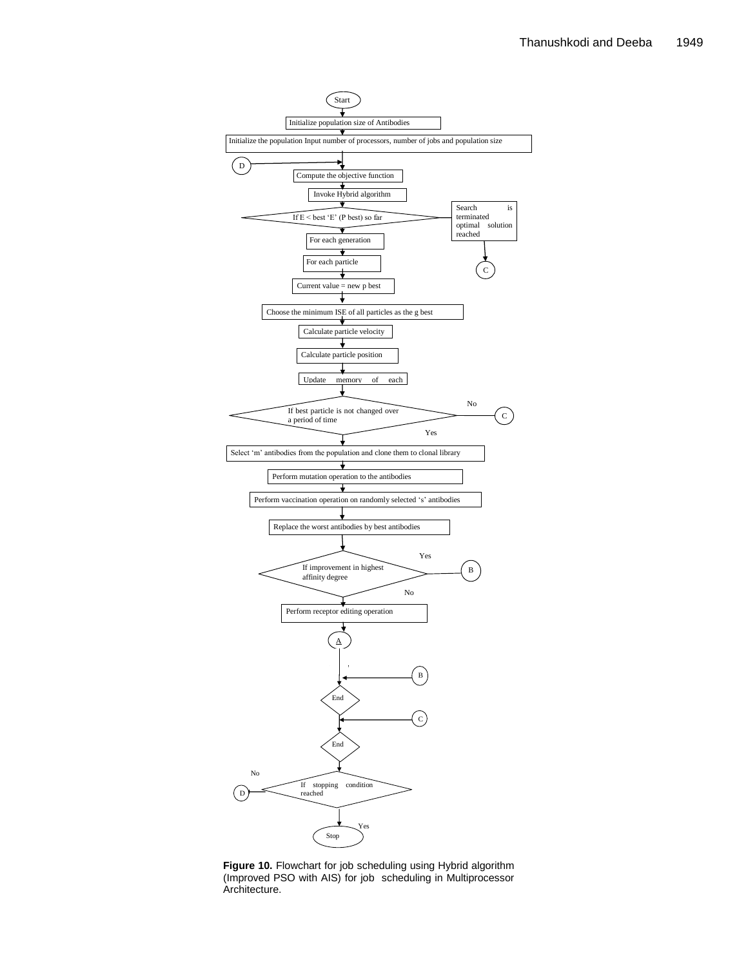

**Figure 10.** Flowchart for job scheduling using Hybrid algorithm (Improved PSO with AIS) for job scheduling in Multiprocessor Architecture.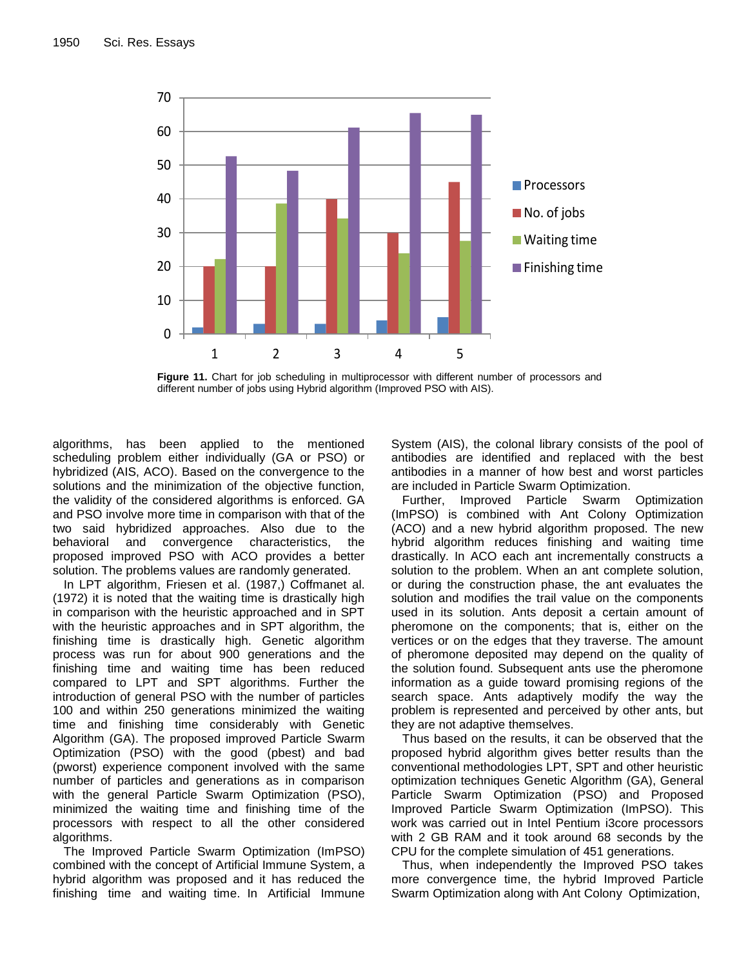

**Figure 11.** Chart for job scheduling in multiprocessor with different number of processors and different number of jobs using Hybrid algorithm (Improved PSO with AIS).

algorithms, has been applied to the mentioned scheduling problem either individually (GA or PSO) or hybridized (AIS, ACO). Based on the convergence to the solutions and the minimization of the objective function, the validity of the considered algorithms is enforced. GA and PSO involve more time in comparison with that of the two said hybridized approaches. Also due to the behavioral and convergence characteristics, the proposed improved PSO with ACO provides a better solution. The problems values are randomly generated.

In LPT algorithm, Friesen et al. (1987,) Coffmanet al. (1972) it is noted that the waiting time is drastically high in comparison with the heuristic approached and in SPT with the heuristic approaches and in SPT algorithm, the finishing time is drastically high. Genetic algorithm process was run for about 900 generations and the finishing time and waiting time has been reduced compared to LPT and SPT algorithms. Further the introduction of general PSO with the number of particles 100 and within 250 generations minimized the waiting time and finishing time considerably with Genetic Algorithm (GA). The proposed improved Particle Swarm Optimization (PSO) with the good (pbest) and bad (pworst) experience component involved with the same number of particles and generations as in comparison with the general Particle Swarm Optimization (PSO), minimized the waiting time and finishing time of the processors with respect to all the other considered algorithms.

The Improved Particle Swarm Optimization (ImPSO) combined with the concept of Artificial Immune System, a hybrid algorithm was proposed and it has reduced the finishing time and waiting time. In Artificial Immune System (AIS), the colonal library consists of the pool of antibodies are identified and replaced with the best antibodies in a manner of how best and worst particles are included in Particle Swarm Optimization.

Further, Improved Particle Swarm Optimization (ImPSO) is combined with Ant Colony Optimization (ACO) and a new hybrid algorithm proposed. The new hybrid algorithm reduces finishing and waiting time drastically. In ACO each ant incrementally constructs a solution to the problem. When an ant complete solution, or during the construction phase, the ant evaluates the solution and modifies the trail value on the components used in its solution. Ants deposit a certain amount of pheromone on the components; that is, either on the vertices or on the edges that they traverse. The amount of pheromone deposited may depend on the quality of the solution found. Subsequent ants use the pheromone information as a guide toward promising regions of the search space. Ants adaptively modify the way the problem is represented and perceived by other ants, but they are not adaptive themselves.

Thus based on the results, it can be observed that the proposed hybrid algorithm gives better results than the conventional methodologies LPT, SPT and other heuristic optimization techniques Genetic Algorithm (GA), General Particle Swarm Optimization (PSO) and Proposed Improved Particle Swarm Optimization (ImPSO). This work was carried out in Intel Pentium i3core processors with 2 GB RAM and it took around 68 seconds by the CPU for the complete simulation of 451 generations.

Thus, when independently the Improved PSO takes more convergence time, the hybrid Improved Particle Swarm Optimization along with Ant Colony Optimization,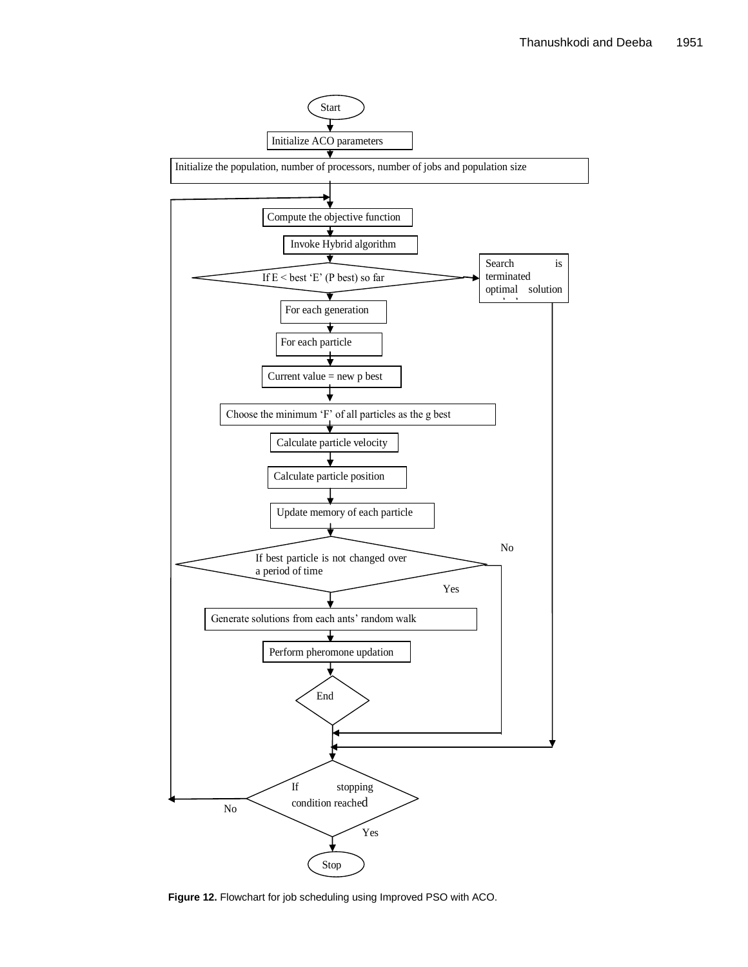

**Figure 12.** Flowchart for job scheduling using Improved PSO with ACO.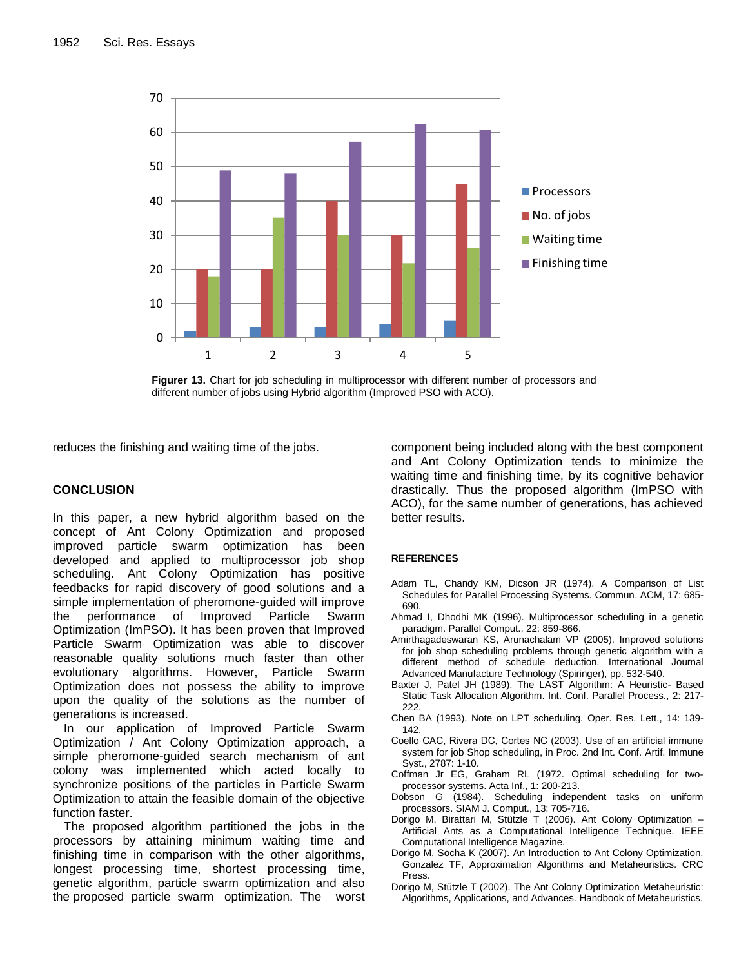

**Figurer 13.** Chart for job scheduling in multiprocessor with different number of processors and different number of jobs using Hybrid algorithm (Improved PSO with ACO).

reduces the finishing and waiting time of the jobs.

## **CONCLUSION**

In this paper, a new hybrid algorithm based on the concept of Ant Colony Optimization and proposed improved particle swarm optimization has been developed and applied to multiprocessor job shop scheduling. Ant Colony Optimization has positive feedbacks for rapid discovery of good solutions and a simple implementation of pheromone-guided will improve the performance of Improved Particle Swarm Optimization (ImPSO). It has been proven that Improved Particle Swarm Optimization was able to discover reasonable quality solutions much faster than other evolutionary algorithms. However, Particle Swarm Optimization does not possess the ability to improve upon the quality of the solutions as the number of generations is increased.

In our application of Improved Particle Swarm Optimization / Ant Colony Optimization approach, a simple pheromone-guided search mechanism of ant colony was implemented which acted locally to synchronize positions of the particles in Particle Swarm Optimization to attain the feasible domain of the objective function faster.

The proposed algorithm partitioned the jobs in the processors by attaining minimum waiting time and finishing time in comparison with the other algorithms, longest processing time, shortest processing time, genetic algorithm, particle swarm optimization and also the proposed particle swarm optimization. The worst

component being included along with the best component and Ant Colony Optimization tends to minimize the waiting time and finishing time, by its cognitive behavior drastically. Thus the proposed algorithm (ImPSO with ACO), for the same number of generations, has achieved better results.

#### **REFERENCES**

- Adam TL, Chandy KM, Dicson JR (1974). A Comparison of List Schedules for Parallel Processing Systems. Commun. ACM, 17: 685- 690.
- Ahmad I, Dhodhi MK (1996). Multiprocessor scheduling in a genetic paradigm. Parallel Comput., 22: 859-866.
- Amirthagadeswaran KS, Arunachalam VP (2005). Improved solutions for job shop scheduling problems through genetic algorithm with a different method of schedule deduction. International Journal Advanced Manufacture Technology (Spiringer), pp. 532-540.
- Baxter J, Patel JH (1989). The LAST Algorithm: A Heuristic- Based Static Task Allocation Algorithm. Int. Conf. Parallel Process., 2: 217- 222.
- Chen BA (1993). Note on LPT scheduling. Oper. Res. Lett., 14: 139- 142.
- Coello CAC, Rivera DC, Cortes NC (2003). Use of an artificial immune system for job Shop scheduling, in Proc. 2nd Int. Conf. Artif. Immune Syst., 2787: 1-10.
- Coffman Jr EG, Graham RL (1972. Optimal scheduling for twoprocessor systems. Acta Inf., 1: 200-213.
- Dobson G (1984). Scheduling independent tasks on uniform processors. SIAM J. Comput., 13: 705-716.
- Dorigo M, Birattari M, Stützle T (2006). Ant Colony Optimization Artificial Ants as a Computational Intelligence Technique*.* IEEE Computational Intelligence Magazine.
- Dorigo M, Socha K (2007). An Introduction to Ant Colony Optimization. Gonzalez TF, Approximation Algorithms and Metaheuristics. CRC Press.
- Dorigo M, Stützle T (2002). The Ant Colony Optimization Metaheuristic: Algorithms, Applications, and Advances. Handbook of Metaheuristics.